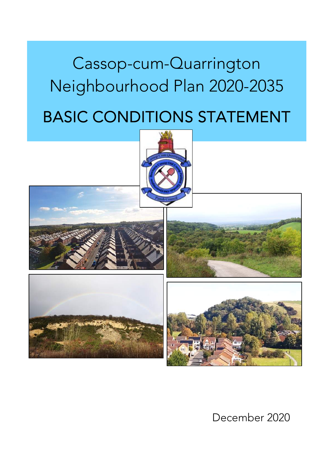# Cassop-cum-Quarrington Neighbourhood Plan 2020-2035

# BASIC CONDITIONS STATEMENT



December 2020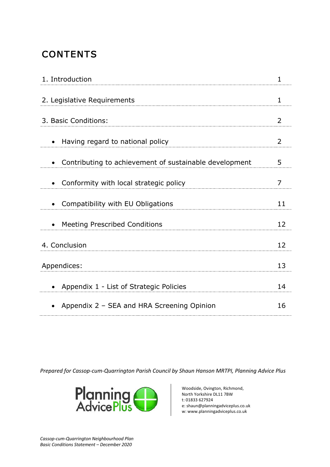# **CONTENTS**

| 1. Introduction                                        |    |
|--------------------------------------------------------|----|
| 2. Legislative Requirements                            |    |
| 3. Basic Conditions:                                   | 2  |
| Having regard to national policy                       | 2  |
| Contributing to achievement of sustainable development | 5  |
| Conformity with local strategic policy                 | 7  |
| Compatibility with EU Obligations                      | 11 |
| <b>Meeting Prescribed Conditions</b><br>$\bullet$      | 12 |
| 4. Conclusion                                          | 12 |
| Appendices:                                            | 13 |
| Appendix 1 - List of Strategic Policies                | 14 |
| Appendix 2 - SEA and HRA Screening Opinion             | 16 |

Prepared for Cassop-cum-Quarrington Parish Council by Shaun Hanson MRTPI, Planning Advice Plus



Woodside, Ovington, Richmond, North Yorkshire DL11 7BW t: 01833 627924 e: shaun@planningadviceplus.co.uk w: www.planningadviceplus.co.uk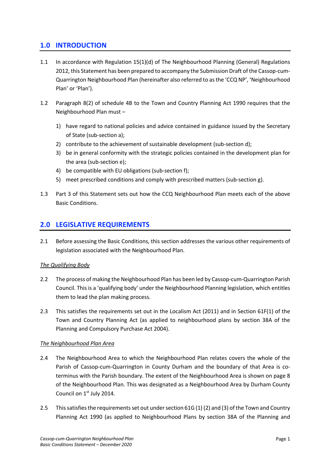## 1.0 INTRODUCTION

- 1.1 In accordance with Regulation 15(1)(d) of The Neighbourhood Planning (General) Regulations 2012, this Statement has been prepared to accompany the Submission Draft of the Cassop-cum-Quarrington Neighbourhood Plan (hereinafter also referred to asthe 'CCQ NP', 'Neighbourhood Plan' or 'Plan').
- 1.2 Paragraph 8(2) of schedule 4B to the Town and Country Planning Act 1990 requires that the Neighbourhood Plan must –
	- 1) have regard to national policies and advice contained in guidance issued by the Secretary of State (sub-section a);
	- 2) contribute to the achievement of sustainable development (sub-section d);
	- 3) be in general conformity with the strategic policies contained in the development plan for the area (sub-section e);
	- 4) be compatible with EU obligations (sub-section f);
	- 5) meet prescribed conditions and comply with prescribed matters (sub-section g).
- 1.3 Part 3 of this Statement sets out how the CCQ Neighbourhood Plan meets each of the above Basic Conditions.

### 2.0 LEGISLATIVE REQUIREMENTS

2.1 Before assessing the Basic Conditions, this section addresses the various other requirements of legislation associated with the Neighbourhood Plan.

#### The Qualifying Body

- 2.2 The process of making the Neighbourhood Plan has been led by Cassop-cum-Quarrington Parish Council. This is a 'qualifying body' under the Neighbourhood Planning legislation, which entitles them to lead the plan making process.
- 2.3 This satisfies the requirements set out in the Localism Act (2011) and in Section 61F(1) of the Town and Country Planning Act (as applied to neighbourhood plans by section 38A of the Planning and Compulsory Purchase Act 2004).

#### The Neighbourhood Plan Area

- 2.4 The Neighbourhood Area to which the Neighbourhood Plan relates covers the whole of the Parish of Cassop-cum-Quarrington in County Durham and the boundary of that Area is coterminus with the Parish boundary. The extent of the Neighbourhood Area is shown on page 8 of the Neighbourhood Plan. This was designated as a Neighbourhood Area by Durham County Council on 1<sup>st</sup> July 2014.
- 2.5 This satisfies the requirements set out under section 61G (1) (2) and (3) of the Town and Country Planning Act 1990 (as applied to Neighbourhood Plans by section 38A of the Planning and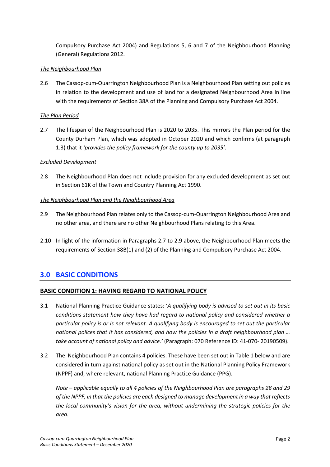Compulsory Purchase Act 2004) and Regulations 5, 6 and 7 of the Neighbourhood Planning (General) Regulations 2012.

#### The Neighbourhood Plan

2.6 The Cassop-cum-Quarrington Neighbourhood Plan is a Neighbourhood Plan setting out policies in relation to the development and use of land for a designated Neighbourhood Area in line with the requirements of Section 38A of the Planning and Compulsory Purchase Act 2004.

#### The Plan Period

2.7 The lifespan of the Neighbourhood Plan is 2020 to 2035. This mirrors the Plan period for the County Durham Plan, which was adopted in October 2020 and which confirms (at paragraph 1.3) that it 'provides the policy framework for the county up to 2035'.

#### Excluded Development

2.8 The Neighbourhood Plan does not include provision for any excluded development as set out in Section 61K of the Town and Country Planning Act 1990.

#### The Neighbourhood Plan and the Neighbourhood Area

- 2.9 The Neighbourhood Plan relates only to the Cassop-cum-Quarrington Neighbourhood Area and no other area, and there are no other Neighbourhood Plans relating to this Area.
- 2.10 In light of the information in Paragraphs 2.7 to 2.9 above, the Neighbourhood Plan meets the requirements of Section 38B(1) and (2) of the Planning and Compulsory Purchase Act 2004.

### 3.0 BASIC CONDITIONS

#### BASIC CONDITION 1: HAVING REGARD TO NATIONAL POLICY

- 3.1 National Planning Practice Guidance states: 'A qualifying body is advised to set out in its basic conditions statement how they have had regard to national policy and considered whether a particular policy is or is not relevant. A qualifying body is encouraged to set out the particular national polices that it has considered, and how the policies in a draft neighbourhood plan … take account of national policy and advice.' (Paragraph: 070 Reference ID: 41-070- 20190509).
- 3.2 The Neighbourhood Plan contains 4 policies. These have been set out in Table 1 below and are considered in turn against national policy as set out in the National Planning Policy Framework (NPPF) and, where relevant, national Planning Practice Guidance (PPG).

Note – applicable equally to all 4 policies of the Neighbourhood Plan are paragraphs 28 and 29 of the NPPF, in that the policies are each designed to manage development in a way that reflects the local community's vision for the area, without undermining the strategic policies for the area.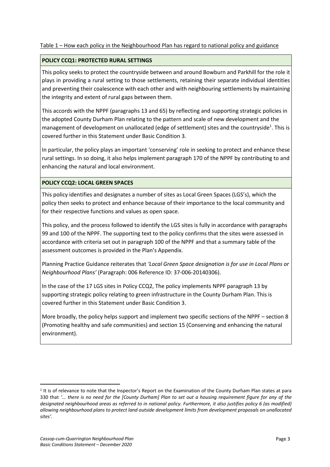#### Table 1 – How each policy in the Neighbourhood Plan has regard to national policy and guidance

#### POLICY CCQ1: PROTECTED RURAL SETTINGS

This policy seeks to protect the countryside between and around Bowburn and Parkhill for the role it plays in providing a rural setting to those settlements, retaining their separate individual identities and preventing their coalescence with each other and with neighbouring settlements by maintaining the integrity and extent of rural gaps between them.

This accords with the NPPF (paragraphs 13 and 65) by reflecting and supporting strategic policies in the adopted County Durham Plan relating to the pattern and scale of new development and the management of development on unallocated (edge of settlement) sites and the countryside<sup>1</sup>. This is covered further in this Statement under Basic Condition 3.

In particular, the policy plays an important 'conserving' role in seeking to protect and enhance these rural settings. In so doing, it also helps implement paragraph 170 of the NPPF by contributing to and enhancing the natural and local environment.

#### POLICY CCQ2: LOCAL GREEN SPACES

This policy identifies and designates a number of sites as Local Green Spaces (LGS's), which the policy then seeks to protect and enhance because of their importance to the local community and for their respective functions and values as open space.

This policy, and the process followed to identify the LGS sites is fully in accordance with paragraphs 99 and 100 of the NPPF. The supporting text to the policy confirms that the sites were assessed in accordance with criteria set out in paragraph 100 of the NPPF and that a summary table of the assessment outcomes is provided in the Plan's Appendix.

Planning Practice Guidance reiterates that 'Local Green Space designation is for use in Local Plans or Neighbourhood Plans' (Paragraph: 006 Reference ID: 37-006-20140306).

In the case of the 17 LGS sites in Policy CCQ2, The policy implements NPPF paragraph 13 by supporting strategic policy relating to green infrastructure in the County Durham Plan. This is covered further in this Statement under Basic Condition 3.

More broadly, the policy helps support and implement two specific sections of the NPPF – section 8 (Promoting healthy and safe communities) and section 15 (Conserving and enhancing the natural environment).

 $1$  It is of relevance to note that the Inspector's Report on the Examination of the County Durham Plan states at para 330 that '... there is no need for the [County Durham] Plan to set out a housing requirement figure for any of the designated neighbourhood areas as referred to in national policy. Furthermore, it also justifies policy 6 (as modified) allowing neighbourhood plans to protect land outside development limits from development proposals on unallocated sites'.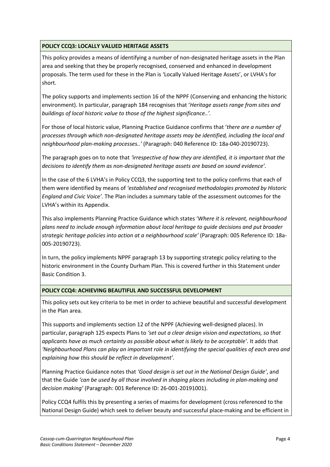#### POLICY CCQ3: LOCALLY VALUED HERITAGE ASSETS

This policy provides a means of identifying a number of non-designated heritage assets in the Plan area and seeking that they be properly recognised, conserved and enhanced in development proposals. The term used for these in the Plan is 'Locally Valued Heritage Assets', or LVHA's for short.

The policy supports and implements section 16 of the NPPF (Conserving and enhancing the historic environment). In particular, paragraph 184 recognises that 'Heritage assets range from sites and buildings of local historic value to those of the highest significance..'.

For those of local historic value, Planning Practice Guidance confirms that 'there are a number of processes through which non-designated heritage assets may be identified, including the local and neighbourhood plan-making processes..' (Paragraph: 040 Reference ID: 18a-040-20190723).

The paragraph goes on to note that 'irrespective of how they are identified, it is important that the decisions to identify them as non-designated heritage assets are based on sound evidence'.

In the case of the 6 LVHA's in Policy CCQ3, the supporting text to the policy confirms that each of them were identified by means of 'established and recognised methodologies promoted by Historic England and Civic Voice'. The Plan includes a summary table of the assessment outcomes for the LVHA's within its Appendix.

This also implements Planning Practice Guidance which states 'Where it is relevant, neighbourhood plans need to include enough information about local heritage to guide decisions and put broader strategic heritage policies into action at a neighbourhood scale' (Paragraph: 005 Reference ID: 18a-005-20190723).

In turn, the policy implements NPPF paragraph 13 by supporting strategic policy relating to the historic environment in the County Durham Plan. This is covered further in this Statement under Basic Condition 3.

#### POLICY CCQ4: ACHIEVING BEAUTIFUL AND SUCCESSFUL DEVELOPMENT

This policy sets out key criteria to be met in order to achieve beautiful and successful development in the Plan area.

This supports and implements section 12 of the NPPF (Achieving well-designed places). In particular, paragraph 125 expects Plans to 'set out a clear design vision and expectations, so that applicants have as much certainty as possible about what is likely to be acceptable'. It adds that 'Neighbourhood Plans can play an important role in identifying the special qualities of each area and explaining how this should be reflect in development'.

Planning Practice Guidance notes that 'Good design is set out in the National Design Guide', and that the Guide 'can be used by all those involved in shaping places including in plan-making and decision making' (Paragraph: 001 Reference ID: 26-001-20191001).

Policy CCQ4 fulfils this by presenting a series of maxims for development (cross referenced to the National Design Guide) which seek to deliver beauty and successful place-making and be efficient in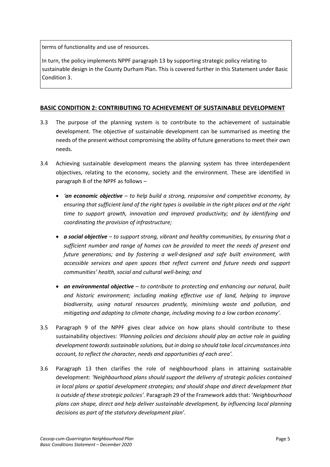terms of functionality and use of resources.

In turn, the policy implements NPPF paragraph 13 by supporting strategic policy relating to sustainable design in the County Durham Plan. This is covered further in this Statement under Basic Condition 3.

#### BASIC CONDITION 2: CONTRIBUTING TO ACHIEVEMENT OF SUSTAINABLE DEVELOPMENT

- 3.3 The purpose of the planning system is to contribute to the achievement of sustainable development. The objective of sustainable development can be summarised as meeting the needs of the present without compromising the ability of future generations to meet their own needs.
- 3.4 Achieving sustainable development means the planning system has three interdependent objectives, relating to the economy, society and the environment. These are identified in paragraph 8 of the NPPF as follows –
	- *'an economic objective* to help build a strong, responsive and competitive economy, by ensuring that sufficient land of the right types is available in the right places and at the right time to support growth, innovation and improved productivity; and by identifying and coordinating the provision of infrastructure;
	- $\alpha$  social objective to support strong, vibrant and healthy communities, by ensuring that a sufficient number and range of homes can be provided to meet the needs of present and future generations; and by fostering a well-designed and safe built environment, with accessible services and open spaces that reflect current and future needs and support communities' health, social and cultural well-being; and
	- an environmental objective to contribute to protecting and enhancing our natural, built and historic environment; including making effective use of land, helping to improve biodiversity, using natural resources prudently, minimising waste and pollution, and mitigating and adapting to climate change, including moving to a low carbon economy'.
- 3.5 Paragraph 9 of the NPPF gives clear advice on how plans should contribute to these sustainability objectives: 'Planning policies and decisions should play an active role in guiding development towards sustainable solutions, but in doing so should take local circumstances into account, to reflect the character, needs and opportunities of each area'.
- 3.6 Paragraph 13 then clarifies the role of neighbourhood plans in attaining sustainable development: 'Neighbourhood plans should support the delivery of strategic policies contained in local plans or spatial development strategies; and should shape and direct development that is outside of these strategic policies'. Paragraph 29 of the Framework adds that: 'Neighbourhood plans can shape, direct and help deliver sustainable development, by influencing local planning decisions as part of the statutory development plan'.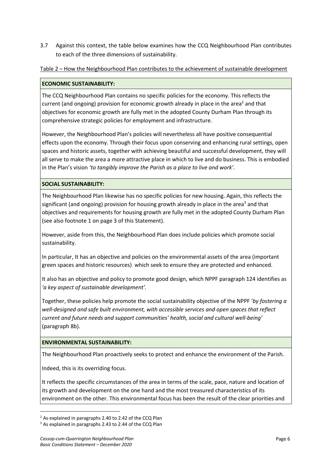3.7 Against this context, the table below examines how the CCQ Neighbourhood Plan contributes to each of the three dimensions of sustainability.

Table 2 – How the Neighbourhood Plan contributes to the achievement of sustainable development

#### ECONOMIC SUSTAINABILITY:

The CCQ Neighbourhood Plan contains no specific policies for the economy. This reflects the current (and ongoing) provision for economic growth already in place in the area<sup>2</sup> and that objectives for economic growth are fully met in the adopted County Durham Plan through its comprehensive strategic policies for employment and infrastructure.

However, the Neighbourhood Plan's policies will nevertheless all have positive consequential effects upon the economy. Through their focus upon conserving and enhancing rural settings, open spaces and historic assets, together with achieving beautiful and successful development, they will all serve to make the area a more attractive place in which to live and do business. This is embodied in the Plan's vision 'to tangibly improve the Parish as a place to live and work'.

#### SOCIAL SUSTAINABILITY:

The Neighbourhood Plan likewise has no specific policies for new housing. Again, this reflects the significant (and ongoing) provision for housing growth already in place in the area<sup>3</sup> and that objectives and requirements for housing growth are fully met in the adopted County Durham Plan (see also footnote 1 on page 3 of this Statement).

However, aside from this, the Neighbourhood Plan does include policies which promote social sustainability.

In particular, It has an objective and policies on the environmental assets of the area (important green spaces and historic resources) which seek to ensure they are protected and enhanced.

It also has an objective and policy to promote good design, which NPPF paragraph 124 identifies as 'a key aspect of sustainable development'.

Together, these policies help promote the social sustainability objective of the NPPF 'by fostering a well-designed and safe built environment, with accessible services and open spaces that reflect current and future needs and support communities' health, social and cultural well-being' (paragraph 8b).

#### ENVIRONMENTAL SUSTAINABILITY:

The Neighbourhood Plan proactively seeks to protect and enhance the environment of the Parish.

Indeed, this is its overriding focus.

It reflects the specific circumstances of the area in terms of the scale, pace, nature and location of its growth and development on the one hand and the most treasured characteristics of its environment on the other. This environmental focus has been the result of the clear priorities and

<sup>2</sup> As explained in paragraphs 2.40 to 2.42 of the CCQ Plan

<sup>&</sup>lt;sup>3</sup> As explained in paragraphs 2.43 to 2.44 of the CCQ Plan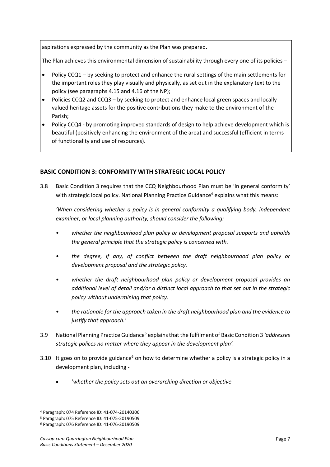aspirations expressed by the community as the Plan was prepared.

The Plan achieves this environmental dimension of sustainability through every one of its policies –

- Policy CCQ1 by seeking to protect and enhance the rural settings of the main settlements for the important roles they play visually and physically, as set out in the explanatory text to the policy (see paragraphs 4.15 and 4.16 of the NP);
- Policies CCQ2 and CCQ3 by seeking to protect and enhance local green spaces and locally valued heritage assets for the positive contributions they make to the environment of the Parish;
- Policy CCQ4 by promoting improved standards of design to help achieve development which is beautiful (positively enhancing the environment of the area) and successful (efficient in terms of functionality and use of resources).

#### BASIC CONDITION 3: CONFORMITY WITH STRATEGIC LOCAL POLICY

3.8 Basic Condition 3 requires that the CCQ Neighbourhood Plan must be 'in general conformity' with strategic local policy. National Planning Practice Guidance<sup>4</sup> explains what this means:

'When considering whether a policy is in general conformity a qualifying body, independent examiner, or local planning authority, should consider the following:

- whether the neighbourhood plan policy or development proposal supports and upholds the general principle that the strategic policy is concerned with.
- the degree, if any, of conflict between the draft neighbourhood plan policy or development proposal and the strategic policy.
- whether the draft neighbourhood plan policy or development proposal provides an additional level of detail and/or a distinct local approach to that set out in the strategic policy without undermining that policy.
- the rationale for the approach taken in the draft neighbourhood plan and the evidence to justify that approach.'
- 3.9 National Planning Practice Guidance<sup>5</sup> explains that the fulfilment of Basic Condition 3 'addresses strategic polices no matter where they appear in the development plan'.
- 3.10 It goes on to provide guidance<sup>6</sup> on how to determine whether a policy is a strategic policy in a development plan, including -
	- 'whether the policy sets out an overarching direction or objective

<sup>4</sup> Paragraph: 074 Reference ID: 41-074-20140306

<sup>5</sup> Paragraph: 075 Reference ID: 41-075-20190509

<sup>6</sup> Paragraph: 076 Reference ID: 41-076-20190509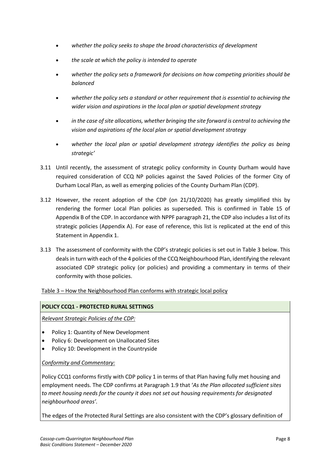- whether the policy seeks to shape the broad characteristics of development
- the scale at which the policy is intended to operate
- whether the policy sets a framework for decisions on how competing priorities should be balanced
- whether the policy sets a standard or other requirement that is essential to achieving the wider vision and aspirations in the local plan or spatial development strategy
- in the case of site allocations, whether bringing the site forward is central to achieving the vision and aspirations of the local plan or spatial development strategy
- whether the local plan or spatial development strategy identifies the policy as being strategic'
- 3.11 Until recently, the assessment of strategic policy conformity in County Durham would have required consideration of CCQ NP policies against the Saved Policies of the former City of Durham Local Plan, as well as emerging policies of the County Durham Plan (CDP).
- 3.12 However, the recent adoption of the CDP (on 21/10/2020) has greatly simplified this by rendering the former Local Plan policies as superseded. This is confirmed in Table 15 of Appendix B of the CDP. In accordance with NPPF paragraph 21, the CDP also includes a list of its strategic policies (Appendix A). For ease of reference, this list is replicated at the end of this Statement in Appendix 1.
- 3.13 The assessment of conformity with the CDP's strategic policies is set out in Table 3 below. This deals in turn with each of the 4 policies of the CCQ Neighbourhood Plan, identifying the relevant associated CDP strategic policy (or policies) and providing a commentary in terms of their conformity with those policies.

Table 3 – How the Neighbourhood Plan conforms with strategic local policy

#### POLICY CCQ1 - PROTECTED RURAL SETTINGS

Relevant Strategic Policies of the CDP:

- Policy 1: Quantity of New Development
- Policy 6: Development on Unallocated Sites
- Policy 10: Development in the Countryside

#### Conformity and Commentary:

Policy CCQ1 conforms firstly with CDP policy 1 in terms of that Plan having fully met housing and employment needs. The CDP confirms at Paragraph 1.9 that 'As the Plan allocated sufficient sites to meet housing needs for the county it does not set out housing requirements for designated neighbourhood areas'.

The edges of the Protected Rural Settings are also consistent with the CDP's glossary definition of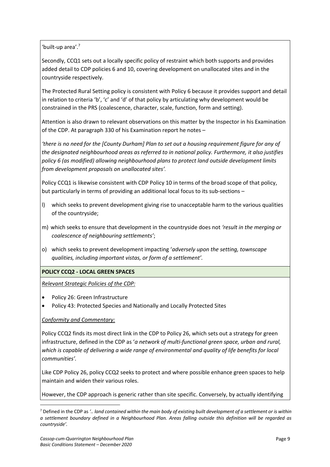'built-up area'. 7

Secondly, CCQ1 sets out a locally specific policy of restraint which both supports and provides added detail to CDP policies 6 and 10, covering development on unallocated sites and in the countryside respectively.

The Protected Rural Setting policy is consistent with Policy 6 because it provides support and detail in relation to criteria 'b', 'c' and 'd' of that policy by articulating why development would be constrained in the PRS (coalescence, character, scale, function, form and setting).

Attention is also drawn to relevant observations on this matter by the Inspector in his Examination of the CDP. At paragraph 330 of his Examination report he notes –

'there is no need for the [County Durham] Plan to set out a housing requirement figure for any of the designated neighbourhood areas as referred to in national policy. Furthermore, it also justifies policy 6 (as modified) allowing neighbourhood plans to protect land outside development limits from development proposals on unallocated sites'.

Policy CCQ1 is likewise consistent with CDP Policy 10 in terms of the broad scope of that policy, but particularly in terms of providing an additional local focus to its sub-sections –

- l) which seeks to prevent development giving rise to unacceptable harm to the various qualities of the countryside;
- m) which seeks to ensure that development in the countryside does not 'result in the merging or coalescence of neighbouring settlements';
- o) which seeks to prevent development impacting 'adversely upon the setting, townscape qualities, including important vistas, or form of a settlement'.

#### POLICY CCQ2 - LOCAL GREEN SPACES

Relevant Strategic Policies of the CDP:

- Policy 26: Green Infrastructure
- Policy 43: Protected Species and Nationally and Locally Protected Sites

#### Conformity and Commentary:

Policy CCQ2 finds its most direct link in the CDP to Policy 26, which sets out a strategy for green infrastructure, defined in the CDP as 'a network of multi-functional green space, urban and rural, which is capable of delivering a wide range of environmental and quality of life benefits for local communities'.

Like CDP Policy 26, policy CCQ2 seeks to protect and where possible enhance green spaces to help maintain and widen their various roles.

However, the CDP approach is generic rather than site specific. Conversely, by actually identifying

 $7$  Defined in the CDP as  $\ldots$  land contained within the main body of existing built development of a settlement or is within a settlement boundary defined in a Neighbourhood Plan. Areas falling outside this definition will be regarded as countryside'.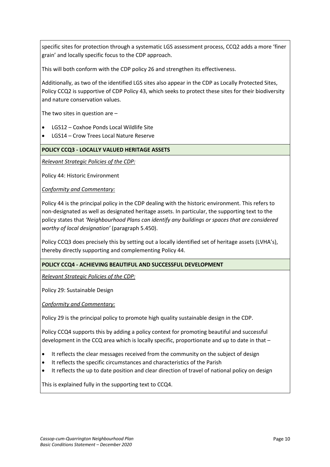specific sites for protection through a systematic LGS assessment process, CCQ2 adds a more 'finer grain' and locally specific focus to the CDP approach.

This will both conform with the CDP policy 26 and strengthen its effectiveness.

Additionally, as two of the identified LGS sites also appear in the CDP as Locally Protected Sites, Policy CCQ2 is supportive of CDP Policy 43, which seeks to protect these sites for their biodiversity and nature conservation values.

The two sites in question are  $-$ 

- LGS12 Coxhoe Ponds Local Wildlife Site
- LGS14 Crow Trees Local Nature Reserve

#### POLICY CCQ3 - LOCALLY VALUED HERITAGE ASSETS

Relevant Strategic Policies of the CDP:

Policy 44: Historic Environment

Conformity and Commentary:

Policy 44 is the principal policy in the CDP dealing with the historic environment. This refers to non-designated as well as designated heritage assets. In particular, the supporting text to the policy states that 'Neighbourhood Plans can identify any buildings or spaces that are considered worthy of local designation' (paragraph 5.450).

Policy CCQ3 does precisely this by setting out a locally identified set of heritage assets (LVHA's), thereby directly supporting and complementing Policy 44.

#### POLICY CCQ4 - ACHIEVING BEAUTIFUL AND SUCCESSFUL DEVELOPMENT

Relevant Strategic Policies of the CDP:

Policy 29: Sustainable Design

Conformity and Commentary:

Policy 29 is the principal policy to promote high quality sustainable design in the CDP.

Policy CCQ4 supports this by adding a policy context for promoting beautiful and successful development in the CCQ area which is locally specific, proportionate and up to date in that –

- It reflects the clear messages received from the community on the subject of design
- It reflects the specific circumstances and characteristics of the Parish
- It reflects the up to date position and clear direction of travel of national policy on design

This is explained fully in the supporting text to CCQ4.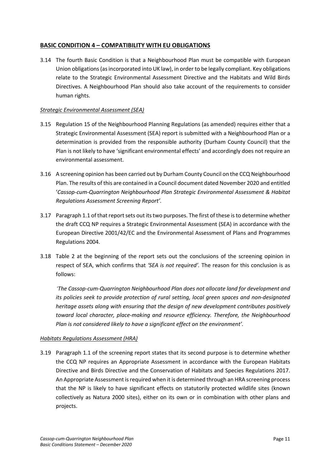#### BASIC CONDITION 4 – COMPATIBILITY WITH EU OBLIGATIONS

3.14 The fourth Basic Condition is that a Neighbourhood Plan must be compatible with European Union obligations (as incorporated into UK law), in order to be legally compliant. Key obligations relate to the Strategic Environmental Assessment Directive and the Habitats and Wild Birds Directives. A Neighbourhood Plan should also take account of the requirements to consider human rights.

#### Strategic Environmental Assessment (SEA)

- 3.15 Regulation 15 of the Neighbourhood Planning Regulations (as amended) requires either that a Strategic Environmental Assessment (SEA) report is submitted with a Neighbourhood Plan or a determination is provided from the responsible authority (Durham County Council) that the Plan is not likely to have 'significant environmental effects' and accordingly does not require an environmental assessment.
- 3.16 A screening opinion has been carried out by Durham County Council on the CCQ Neighbourhood Plan. The results of this are contained in a Council document dated November 2020 and entitled 'Cassop-cum-Quarrington Neighbourhood Plan Strategic Environmental Assessment & Habitat Regulations Assessment Screening Report'.
- 3.17 Paragraph 1.1 of that report sets out its two purposes. The first of these isto determine whether the draft CCQ NP requires a Strategic Environmental Assessment (SEA) in accordance with the European Directive 2001/42/EC and the Environmental Assessment of Plans and Programmes Regulations 2004.
- 3.18 Table 2 at the beginning of the report sets out the conclusions of the screening opinion in respect of SEA, which confirms that 'SEA is not required'. The reason for this conclusion is as follows:

'The Cassop-cum-Quarrington Neighbourhood Plan does not allocate land for development and its policies seek to provide protection of rural setting, local green spaces and non-designated heritage assets along with ensuring that the design of new development contributes positively toward local character, place-making and resource efficiency. Therefore, the Neighbourhood Plan is not considered likely to have a significant effect on the environment'.

#### Habitats Regulations Assessment (HRA)

3.19 Paragraph 1.1 of the screening report states that its second purpose is to determine whether the CCQ NP requires an Appropriate Assessment in accordance with the European Habitats Directive and Birds Directive and the Conservation of Habitats and Species Regulations 2017. An Appropriate Assessment is required when it is determined through an HRA screening process that the NP is likely to have significant effects on statutorily protected wildlife sites (known collectively as Natura 2000 sites), either on its own or in combination with other plans and projects.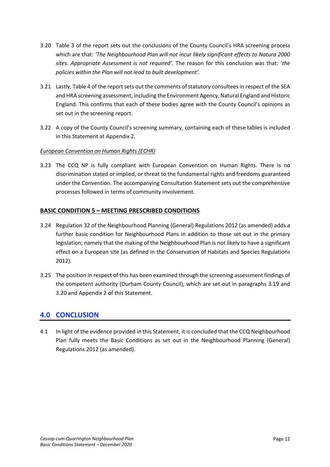- 3.20 Table 3 of the report sets out the conclusions of the County Council's HRA screening process which are that: 'The Neighbourhood Plan will not incur likely significant effects to Natura 2000 sites. Appropriate Assessment is not required'. The reason for this conclusion was that: 'the policies within the Plan will not lead to built development'.
- 3.21 Lastly, Table 4 of the report sets out the comments of statutory consultees in respect of the SEA and HRA screening assessment, including the Environment Agency, Natural England and Historic England. This confirms that each of these bodies agree with the County Council's opinions as set out in the screening report.
- 3.22 A copy of the County Council's screening summary, containing each of these tables is included in this Statement at Appendix 2.

#### European Convention on Human Rights (ECHR)

3.23 The CCQ NP is fully compliant with European Convention on Human Rights. There is no discrimination stated or implied, or threat to the fundamental rights and freedoms guaranteed under the Convention. The accompanying Consultation Statement sets out the comprehensive processes followed in terms of community involvement.

#### BASIC CONDITION 5 – MEETING PRESCRIBED CONDITIONS

- 3.24 Regulation 32 of the Neighbourhood Planning (General) Regulations 2012 (as amended) adds a further basic condition for Neighbourhood Plans in addition to those set out in the primary legislation; namely that the making of the Neighbourhood Plan is not likely to have a significant effect on a European site (as defined in the Conservation of Habitats and Species Regulations 2012).
- 3.25 The position in respect of this has been examined through the screening assessment findings of the competent authority (Durham County Council), which are set out in paragraphs 3.19 and 3.20 and Appendix 2 of this Statement.

### 4.0 CONCLUSION

4.1 In light of the evidence provided in this Statement, it is concluded that the CCQ Neighbourhood Plan fully meets the Basic Conditions as set out in the Neighbourhood Planning (General) Regulations 2012 (as amended).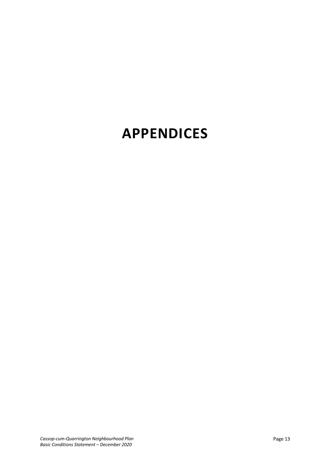# APPENDICES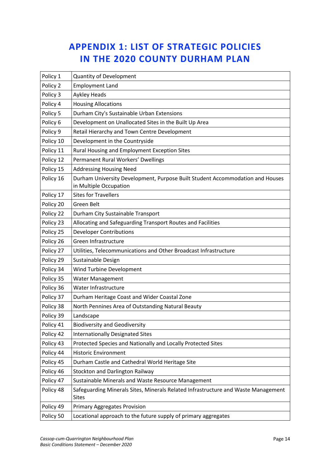# APPENDIX 1: LIST OF STRATEGIC POLICIES IN THE 2020 COUNTY DURHAM PLAN

| Policy 1  | <b>Quantity of Development</b>                                                                          |
|-----------|---------------------------------------------------------------------------------------------------------|
| Policy 2  | <b>Employment Land</b>                                                                                  |
| Policy 3  | Aykley Heads                                                                                            |
| Policy 4  | <b>Housing Allocations</b>                                                                              |
| Policy 5  | Durham City's Sustainable Urban Extensions                                                              |
| Policy 6  | Development on Unallocated Sites in the Built Up Area                                                   |
| Policy 9  | Retail Hierarchy and Town Centre Development                                                            |
| Policy 10 | Development in the Countryside                                                                          |
| Policy 11 | Rural Housing and Employment Exception Sites                                                            |
| Policy 12 | Permanent Rural Workers' Dwellings                                                                      |
| Policy 15 | <b>Addressing Housing Need</b>                                                                          |
| Policy 16 | Durham University Development, Purpose Built Student Accommodation and Houses<br>in Multiple Occupation |
| Policy 17 | <b>Sites for Travellers</b>                                                                             |
| Policy 20 | Green Belt                                                                                              |
| Policy 22 | Durham City Sustainable Transport                                                                       |
| Policy 23 | Allocating and Safeguarding Transport Routes and Facilities                                             |
| Policy 25 | <b>Developer Contributions</b>                                                                          |
| Policy 26 | Green Infrastructure                                                                                    |
| Policy 27 | Utilities, Telecommunications and Other Broadcast Infrastructure                                        |
| Policy 29 | Sustainable Design                                                                                      |
| Policy 34 | Wind Turbine Development                                                                                |
| Policy 35 | Water Management                                                                                        |
| Policy 36 | Water Infrastructure                                                                                    |
| Policy 37 | Durham Heritage Coast and Wider Coastal Zone                                                            |
| Policy 38 | North Pennines Area of Outstanding Natural Beauty                                                       |
| Policy 39 | Landscape                                                                                               |
| Policy 41 | <b>Biodiversity and Geodiversity</b>                                                                    |
| Policy 42 | <b>Internationally Designated Sites</b>                                                                 |
| Policy 43 | Protected Species and Nationally and Locally Protected Sites                                            |
| Policy 44 | <b>Historic Environment</b>                                                                             |
| Policy 45 | Durham Castle and Cathedral World Heritage Site                                                         |
| Policy 46 | Stockton and Darlington Railway                                                                         |
| Policy 47 | Sustainable Minerals and Waste Resource Management                                                      |
| Policy 48 | Safeguarding Minerals Sites, Minerals Related Infrastructure and Waste Management<br><b>Sites</b>       |
| Policy 49 | <b>Primary Aggregates Provision</b>                                                                     |
| Policy 50 | Locational approach to the future supply of primary aggregates                                          |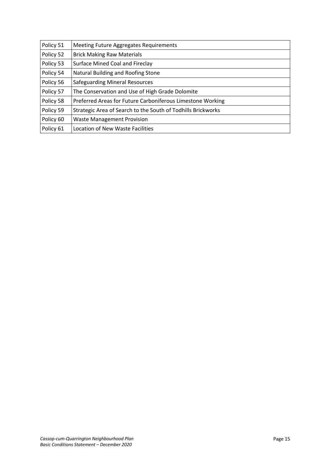| Policy 51 | Meeting Future Aggregates Requirements                       |
|-----------|--------------------------------------------------------------|
| Policy 52 | <b>Brick Making Raw Materials</b>                            |
| Policy 53 | Surface Mined Coal and Fireclay                              |
| Policy 54 | Natural Building and Roofing Stone                           |
| Policy 56 | <b>Safeguarding Mineral Resources</b>                        |
| Policy 57 | The Conservation and Use of High Grade Dolomite              |
| Policy 58 | Preferred Areas for Future Carboniferous Limestone Working   |
| Policy 59 | Strategic Area of Search to the South of Todhills Brickworks |
| Policy 60 | <b>Waste Management Provision</b>                            |
| Policy 61 | <b>Location of New Waste Facilities</b>                      |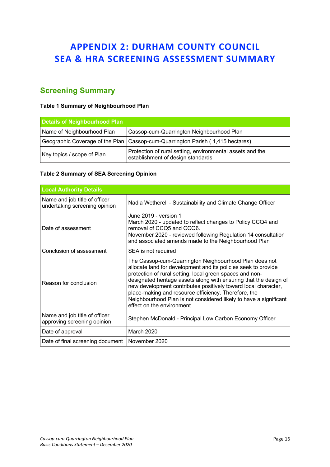## APPENDIX 2: DURHAM COUNTY COUNCIL SEA & HRA SCREENING ASSESSMENT SUMMARY

## Screening Summary

#### Table 1 Summary of Neighbourhood Plan

| Details of Neighbourhood Plan |                                                                                                |  |
|-------------------------------|------------------------------------------------------------------------------------------------|--|
| Name of Neighbourhood Plan    | Cassop-cum-Quarrington Neighbourhood Plan                                                      |  |
|                               | Geographic Coverage of the Plan   Cassop-cum-Quarrington Parish (1,415 hectares)               |  |
| Key topics / scope of Plan    | Protection of rural setting, environmental assets and the<br>establishment of design standards |  |

#### Table 2 Summary of SEA Screening Opinion

| <b>Local Authority Details</b>                                 |                                                                                                                                                                                                                                                                                                                                                                                                                                                                                        |  |
|----------------------------------------------------------------|----------------------------------------------------------------------------------------------------------------------------------------------------------------------------------------------------------------------------------------------------------------------------------------------------------------------------------------------------------------------------------------------------------------------------------------------------------------------------------------|--|
| Name and job title of officer<br>undertaking screening opinion | Nadia Wetherell - Sustainability and Climate Change Officer                                                                                                                                                                                                                                                                                                                                                                                                                            |  |
| Date of assessment                                             | June 2019 - version 1<br>March 2020 - updated to reflect changes to Policy CCQ4 and<br>removal of CCQ5 and CCQ6.<br>November 2020 - reviewed following Regulation 14 consultation<br>and associated amends made to the Neighbourhood Plan                                                                                                                                                                                                                                              |  |
| Conclusion of assessment                                       | SEA is not required                                                                                                                                                                                                                                                                                                                                                                                                                                                                    |  |
| Reason for conclusion                                          | The Cassop-cum-Quarrington Neighbourhood Plan does not<br>allocate land for development and its policies seek to provide<br>protection of rural setting, local green spaces and non-<br>designated heritage assets along with ensuring that the design of<br>new development contributes positively toward local character,<br>place-making and resource efficiency. Therefore, the<br>Neighbourhood Plan is not considered likely to have a significant<br>effect on the environment. |  |
| Name and job title of officer<br>approving screening opinion   | Stephen McDonald - Principal Low Carbon Economy Officer                                                                                                                                                                                                                                                                                                                                                                                                                                |  |
| Date of approval                                               | March 2020                                                                                                                                                                                                                                                                                                                                                                                                                                                                             |  |
| Date of final screening document                               | November 2020                                                                                                                                                                                                                                                                                                                                                                                                                                                                          |  |